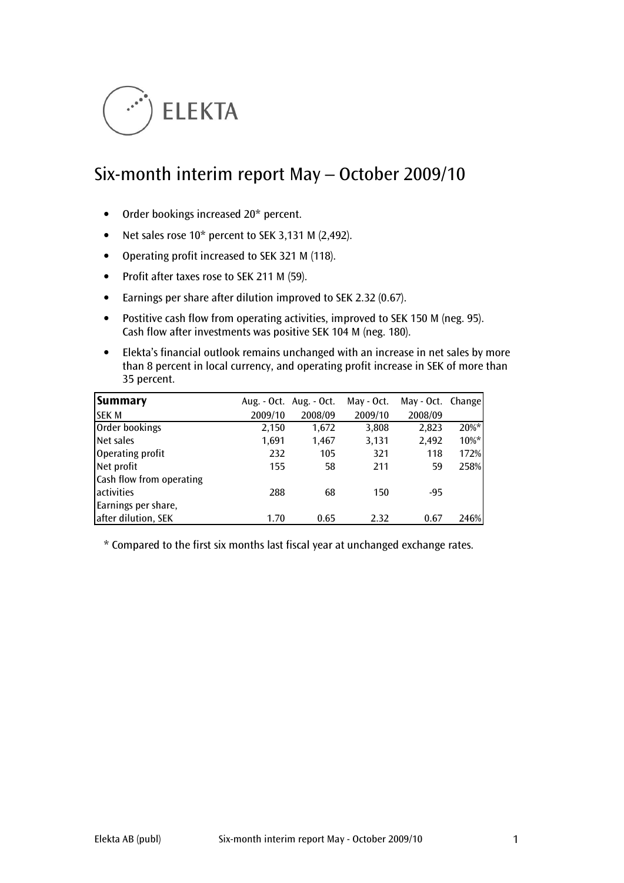

# Six-month interim report May – October 2009/10

- Order bookings increased 20\* percent.
- Net sales rose 10\* percent to SEK 3,131 M (2,492).
- Operating profit increased to SEK 321 M (118).
- Profit after taxes rose to SEK 211 M (59).
- Earnings per share after dilution improved to SEK 2.32 (0.67).
- Postitive cash flow from operating activities, improved to SEK 150 M (neg. 95). Cash flow after investments was positive SEK 104 M (neg. 180).
- Elekta's financial outlook remains unchanged with an increase in net sales by more than 8 percent in local currency, and operating profit increase in SEK of more than 35 percent.

| Summary                  |         | Aug. - Oct. Aug. - Oct. | May - Oct. | May - Oct. Change |         |
|--------------------------|---------|-------------------------|------------|-------------------|---------|
| <b>SEK M</b>             | 2009/10 | 2008/09                 | 2009/10    | 2008/09           |         |
| Order bookings           | 2,150   | 1,672                   | 3,808      | 2,823             | $20\%*$ |
| Net sales                | 1,691   | 1,467                   | 3,131      | 2,492             | $10\%*$ |
| Operating profit         | 232     | 105                     | 321        | 118               | 172%    |
| Net profit               | 155     | 58                      | 211        | 59                | 258%    |
| Cash flow from operating |         |                         |            |                   |         |
| activities               | 288     | 68                      | 150        | -95               |         |
| Earnings per share,      |         |                         |            |                   |         |
| after dilution, SEK      | 1.70    | 0.65                    | 2.32       | 0.67              | 246%    |

\* Compared to the first six months last fiscal year at unchanged exchange rates.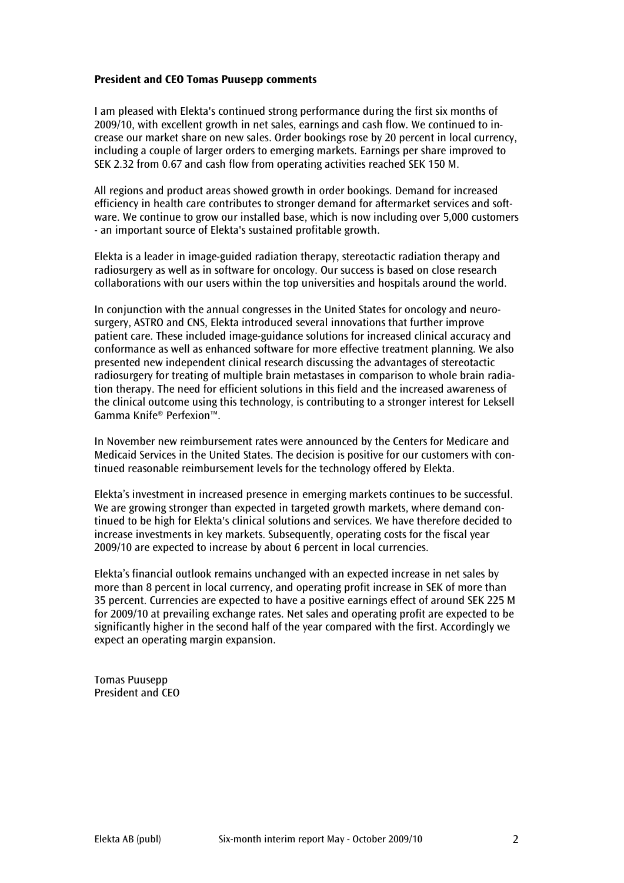#### President and CEO Tomas Puusepp comments

I am pleased with Elekta's continued strong performance during the first six months of 2009/10, with excellent growth in net sales, earnings and cash flow. We continued to increase our market share on new sales. Order bookings rose by 20 percent in local currency, including a couple of larger orders to emerging markets. Earnings per share improved to SEK 2.32 from 0.67 and cash flow from operating activities reached SEK 150 M.

All regions and product areas showed growth in order bookings. Demand for increased efficiency in health care contributes to stronger demand for aftermarket services and software. We continue to grow our installed base, which is now including over 5,000 customers - an important source of Elekta's sustained profitable growth.

Elekta is a leader in image-guided radiation therapy, stereotactic radiation therapy and radiosurgery as well as in software for oncology. Our success is based on close research collaborations with our users within the top universities and hospitals around the world.

In conjunction with the annual congresses in the United States for oncology and neurosurgery, ASTRO and CNS, Elekta introduced several innovations that further improve patient care. These included image-guidance solutions for increased clinical accuracy and conformance as well as enhanced software for more effective treatment planning. We also presented new independent clinical research discussing the advantages of stereotactic radiosurgery for treating of multiple brain metastases in comparison to whole brain radiation therapy. The need for efficient solutions in this field and the increased awareness of the clinical outcome using this technology, is contributing to a stronger interest for Leksell Gamma Knife® Perfexion™.

In November new reimbursement rates were announced by the Centers for Medicare and Medicaid Services in the United States. The decision is positive for our customers with continued reasonable reimbursement levels for the technology offered by Elekta.

Elekta's investment in increased presence in emerging markets continues to be successful. We are growing stronger than expected in targeted growth markets, where demand continued to be high for Elekta's clinical solutions and services. We have therefore decided to increase investments in key markets. Subsequently, operating costs for the fiscal year 2009/10 are expected to increase by about 6 percent in local currencies.

Elekta's financial outlook remains unchanged with an expected increase in net sales by more than 8 percent in local currency, and operating profit increase in SEK of more than 35 percent. Currencies are expected to have a positive earnings effect of around SEK 225 M for 2009/10 at prevailing exchange rates. Net sales and operating profit are expected to be significantly higher in the second half of the year compared with the first. Accordingly we expect an operating margin expansion.

Tomas Puusepp President and CEO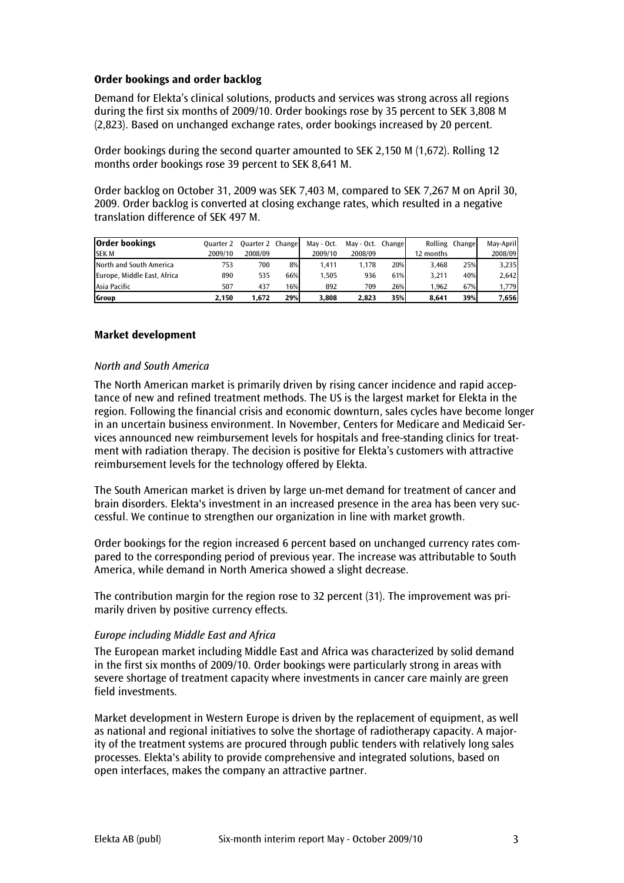## Order bookings and order backlog

Demand for Elekta's clinical solutions, products and services was strong across all regions during the first six months of 2009/10. Order bookings rose by 35 percent to SEK 3,808 M (2,823). Based on unchanged exchange rates, order bookings increased by 20 percent.

Order bookings during the second quarter amounted to SEK 2,150 M (1,672). Rolling 12 months order bookings rose 39 percent to SEK 8,641 M.

Order backlog on October 31, 2009 was SEK 7,403 M, compared to SEK 7,267 M on April 30, 2009. Order backlog is converted at closing exchange rates, which resulted in a negative translation difference of SEK 497 M.

| <b>Order bookings</b>       | <b>Ouarter 2</b> | <b>Ouarter 2 Change</b> |     | May - Oct. | May - Oct. Change |     |           | Rolling Change | Mav-April |
|-----------------------------|------------------|-------------------------|-----|------------|-------------------|-----|-----------|----------------|-----------|
| <b>SEK M</b>                | 2009/10          | 2008/09                 |     | 2009/10    | 2008/09           |     | 12 months |                | 2008/09   |
| North and South America     | 753              | 700                     | 8%  | 1.411      | 1.178             | 20% | 3.468     | 25%            | 3,235     |
| Europe, Middle East, Africa | 890              | 535                     | 66% | 1.505      | 936               | 61% | 3.211     | 40%            | 2,642     |
| Asia Pacific                | 507              | 437                     | 16% | 892        | 709               | 26% | 1.962     | 67%            | 1,779     |
| <b>Group</b>                | 2.150            | 1.672                   | 29% | 3.808      | 2.823             | 35% | 8.641     | 39%            | 7,656     |

## Market development

#### North and South America

The North American market is primarily driven by rising cancer incidence and rapid acceptance of new and refined treatment methods. The US is the largest market for Elekta in the region. Following the financial crisis and economic downturn, sales cycles have become longer in an uncertain business environment. In November, Centers for Medicare and Medicaid Services announced new reimbursement levels for hospitals and free-standing clinics for treatment with radiation therapy. The decision is positive for Elekta's customers with attractive reimbursement levels for the technology offered by Elekta.

The South American market is driven by large un-met demand for treatment of cancer and brain disorders. Elekta's investment in an increased presence in the area has been very successful. We continue to strengthen our organization in line with market growth.

Order bookings for the region increased 6 percent based on unchanged currency rates compared to the corresponding period of previous year. The increase was attributable to South America, while demand in North America showed a slight decrease.

The contribution margin for the region rose to 32 percent (31). The improvement was primarily driven by positive currency effects.

#### Europe including Middle East and Africa

The European market including Middle East and Africa was characterized by solid demand in the first six months of 2009/10. Order bookings were particularly strong in areas with severe shortage of treatment capacity where investments in cancer care mainly are green field investments.

Market development in Western Europe is driven by the replacement of equipment, as well as national and regional initiatives to solve the shortage of radiotherapy capacity. A majority of the treatment systems are procured through public tenders with relatively long sales processes. Elekta's ability to provide comprehensive and integrated solutions, based on open interfaces, makes the company an attractive partner.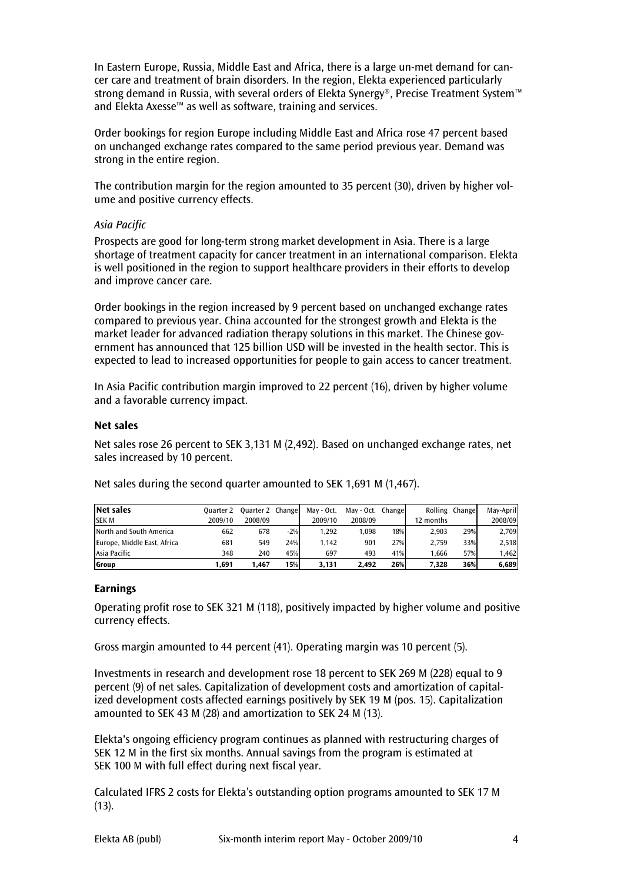In Eastern Europe, Russia, Middle East and Africa, there is a large un-met demand for cancer care and treatment of brain disorders. In the region, Elekta experienced particularly strong demand in Russia, with several orders of Elekta Synergy®, Precise Treatment System™ and Elekta Axesse™ as well as software, training and services.

Order bookings for region Europe including Middle East and Africa rose 47 percent based on unchanged exchange rates compared to the same period previous year. Demand was strong in the entire region.

The contribution margin for the region amounted to 35 percent (30), driven by higher volume and positive currency effects.

## Asia Pacific

Prospects are good for long-term strong market development in Asia. There is a large shortage of treatment capacity for cancer treatment in an international comparison. Elekta is well positioned in the region to support healthcare providers in their efforts to develop and improve cancer care.

Order bookings in the region increased by 9 percent based on unchanged exchange rates compared to previous year. China accounted for the strongest growth and Elekta is the market leader for advanced radiation therapy solutions in this market. The Chinese government has announced that 125 billion USD will be invested in the health sector. This is expected to lead to increased opportunities for people to gain access to cancer treatment.

In Asia Pacific contribution margin improved to 22 percent (16), driven by higher volume and a favorable currency impact.

## Net sales

Net sales rose 26 percent to SEK 3,131 M (2,492). Based on unchanged exchange rates, net sales increased by 10 percent.

| Net sales                   | Ouarter 2 | Quarter 2 Change |       | May - Oct. | May - Oct. | Changel |           | Rolling Change | Mav-April |
|-----------------------------|-----------|------------------|-------|------------|------------|---------|-----------|----------------|-----------|
| <b>SEK M</b>                | 2009/10   | 2008/09          |       | 2009/10    | 2008/09    |         | 12 months |                | 2008/09   |
| North and South America     | 662       | 678              | $-2%$ | 1.292      | 1.098      | 18%     | 2.903     | 29%            | 2,709     |
| Europe, Middle East, Africa | 681       | 549              | 24%   | 1.142      | 901        | 27%     | 2.759     | 33%            | 2,518     |
| Asia Pacific                | 348       | 240              | 45%   | 697        | 493        | 41%     | 1.666     | 57%            | 1,462     |
| Group                       | 1,691     | 1.467            | 15%   | 3.131      | 2.492      | 26%     | 7.328     | 36%            | 6,689     |

Net sales during the second quarter amounted to SEK 1,691 M (1,467).

#### Earnings

Operating profit rose to SEK 321 M (118), positively impacted by higher volume and positive currency effects.

Gross margin amounted to 44 percent (41). Operating margin was 10 percent (5).

Investments in research and development rose 18 percent to SEK 269 M (228) equal to 9 percent (9) of net sales. Capitalization of development costs and amortization of capitalized development costs affected earnings positively by SEK 19 M (pos. 15). Capitalization amounted to SEK 43 M (28) and amortization to SEK 24 M (13).

Elekta's ongoing efficiency program continues as planned with restructuring charges of SEK 12 M in the first six months. Annual savings from the program is estimated at SEK 100 M with full effect during next fiscal year.

Calculated IFRS 2 costs for Elekta's outstanding option programs amounted to SEK 17 M  $(13)$ .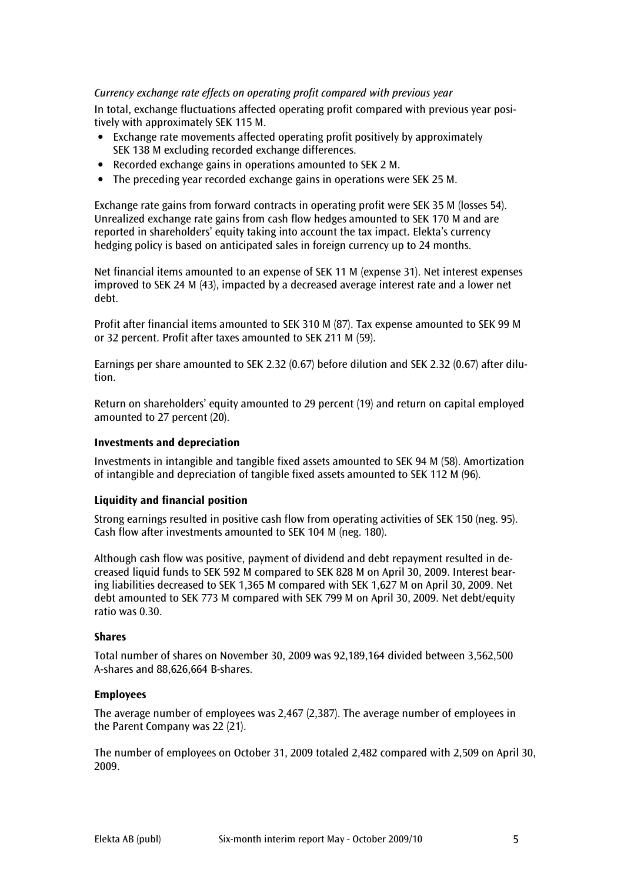# Currency exchange rate effects on operating profit compared with previous year

In total, exchange fluctuations affected operating profit compared with previous year positively with approximately SEK 115 M.

- Exchange rate movements affected operating profit positively by approximately SEK 138 M excluding recorded exchange differences.
- Recorded exchange gains in operations amounted to SEK 2 M.
- The preceding year recorded exchange gains in operations were SEK 25 M.

Exchange rate gains from forward contracts in operating profit were SEK 35 M (losses 54). Unrealized exchange rate gains from cash flow hedges amounted to SEK 170 M and are reported in shareholders' equity taking into account the tax impact. Elekta's currency hedging policy is based on anticipated sales in foreign currency up to 24 months.

Net financial items amounted to an expense of SEK 11 M (expense 31). Net interest expenses improved to SEK 24 M (43), impacted by a decreased average interest rate and a lower net debt.

Profit after financial items amounted to SEK 310 M (87). Tax expense amounted to SEK 99 M or 32 percent. Profit after taxes amounted to SEK 211 M (59).

Earnings per share amounted to SEK 2.32 (0.67) before dilution and SEK 2.32 (0.67) after dilution.

Return on shareholders' equity amounted to 29 percent (19) and return on capital employed amounted to 27 percent (20).

#### Investments and depreciation

Investments in intangible and tangible fixed assets amounted to SEK 94 M (58). Amortization of intangible and depreciation of tangible fixed assets amounted to SEK 112 M (96).

#### Liquidity and financial position

Strong earnings resulted in positive cash flow from operating activities of SEK 150 (neg. 95). Cash flow after investments amounted to SEK 104 M (neg. 180).

Although cash flow was positive, payment of dividend and debt repayment resulted in decreased liquid funds to SEK 592 M compared to SEK 828 M on April 30, 2009. Interest bearing liabilities decreased to SEK 1,365 M compared with SEK 1,627 M on April 30, 2009. Net debt amounted to SEK 773 M compared with SEK 799 M on April 30, 2009. Net debt/equity ratio was 0.30.

#### Shares

Total number of shares on November 30, 2009 was 92,189,164 divided between 3,562,500 A-shares and 88,626,664 B-shares.

#### **Employees**

The average number of employees was 2,467 (2,387). The average number of employees in the Parent Company was 22 (21).

The number of employees on October 31, 2009 totaled 2,482 compared with 2,509 on April 30, 2009.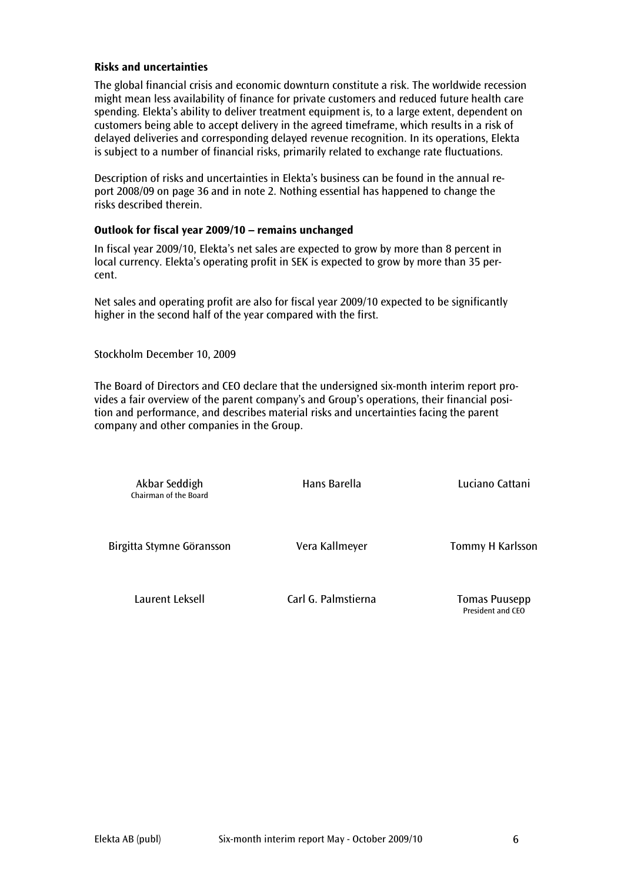#### Risks and uncertainties

The global financial crisis and economic downturn constitute a risk. The worldwide recession might mean less availability of finance for private customers and reduced future health care spending. Elekta's ability to deliver treatment equipment is, to a large extent, dependent on customers being able to accept delivery in the agreed timeframe, which results in a risk of delayed deliveries and corresponding delayed revenue recognition. In its operations, Elekta is subject to a number of financial risks, primarily related to exchange rate fluctuations.

Description of risks and uncertainties in Elekta's business can be found in the annual report 2008/09 on page 36 and in note 2. Nothing essential has happened to change the risks described therein.

## Outlook for fiscal year 2009/10 – remains unchanged

In fiscal year 2009/10, Elekta's net sales are expected to grow by more than 8 percent in local currency. Elekta's operating profit in SEK is expected to grow by more than 35 percent.

Net sales and operating profit are also for fiscal year 2009/10 expected to be significantly higher in the second half of the year compared with the first.

Stockholm December 10, 2009

The Board of Directors and CEO declare that the undersigned six-month interim report provides a fair overview of the parent company's and Group's operations, their financial position and performance, and describes material risks and uncertainties facing the parent company and other companies in the Group.

Chairman of the Board

Akbar Seddigh Hans Barella Luciano Cattani

Birgitta Stymne Göransson **Vera Kallmeyer** Tommy H Karlsson

Laurent Leksell Carl G. Palmstierna Tomas Puusepp

President and CEO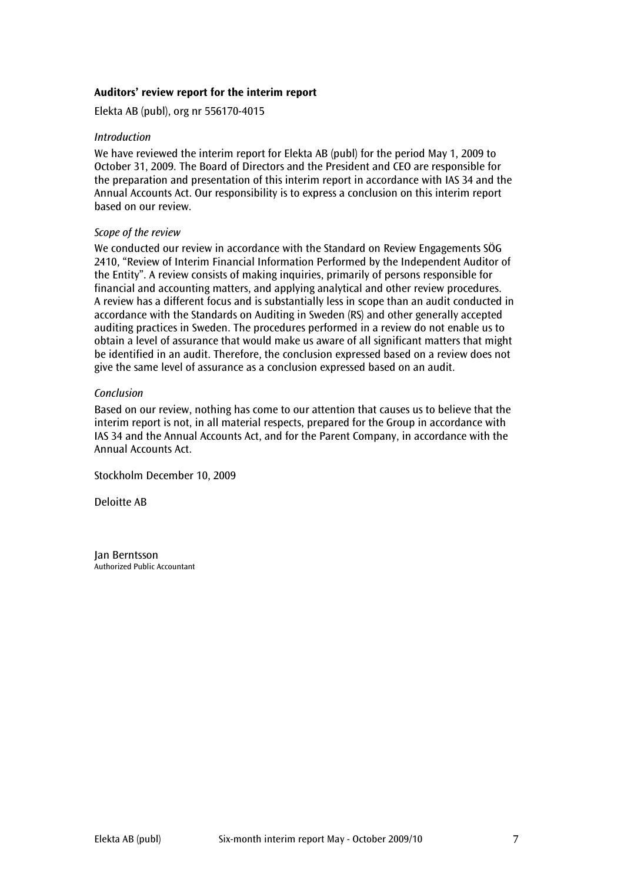## Auditors' review report for the interim report

Elekta AB (publ), org nr 556170-4015

#### Introduction

We have reviewed the interim report for Elekta AB (publ) for the period May 1, 2009 to October 31, 2009. The Board of Directors and the President and CEO are responsible for the preparation and presentation of this interim report in accordance with IAS 34 and the Annual Accounts Act. Our responsibility is to express a conclusion on this interim report based on our review.

## Scope of the review

We conducted our review in accordance with the Standard on Review Engagements SÖG 2410, "Review of Interim Financial Information Performed by the Independent Auditor of the Entity". A review consists of making inquiries, primarily of persons responsible for financial and accounting matters, and applying analytical and other review procedures. A review has a different focus and is substantially less in scope than an audit conducted in accordance with the Standards on Auditing in Sweden (RS) and other generally accepted auditing practices in Sweden. The procedures performed in a review do not enable us to obtain a level of assurance that would make us aware of all significant matters that might be identified in an audit. Therefore, the conclusion expressed based on a review does not give the same level of assurance as a conclusion expressed based on an audit.

## Conclusion

Based on our review, nothing has come to our attention that causes us to believe that the interim report is not, in all material respects, prepared for the Group in accordance with IAS 34 and the Annual Accounts Act, and for the Parent Company, in accordance with the Annual Accounts Act.

Stockholm December 10, 2009

Deloitte AB

Jan Berntsson Authorized Public Accountant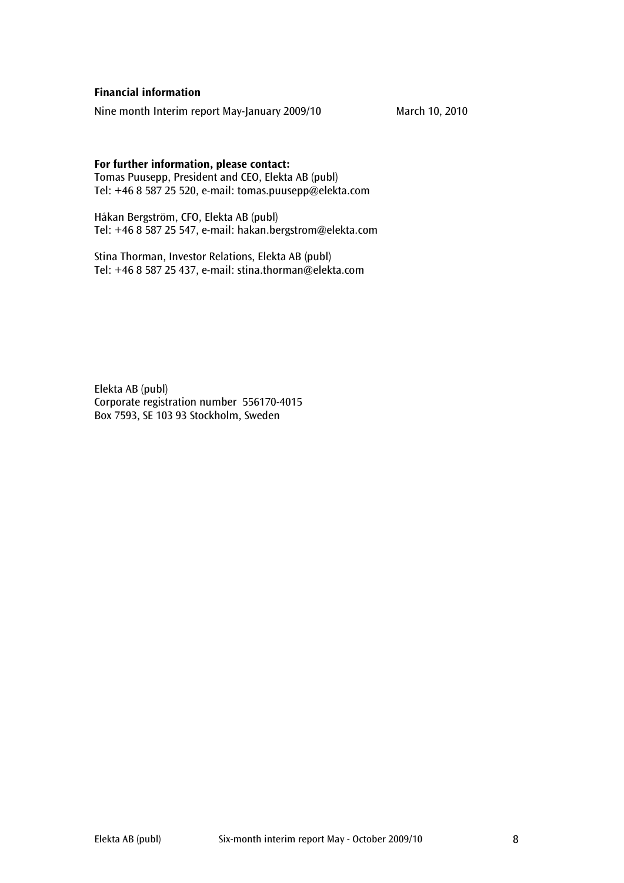## Financial information

Nine month Interim report May-January 2009/10 March 10, 2010

#### For further information, please contact:

Tomas Puusepp, President and CEO, Elekta AB (publ) Tel: +46 8 587 25 520, e-mail: tomas.puusepp@elekta.com

Håkan Bergström, CFO, Elekta AB (publ) Tel: +46 8 587 25 547, e-mail: hakan.bergstrom@elekta.com

Stina Thorman, Investor Relations, Elekta AB (publ) Tel: +46 8 587 25 437, e-mail: stina.thorman@elekta.com

Elekta AB (publ) Corporate registration number 556170-4015 Box 7593, SE 103 93 Stockholm, Sweden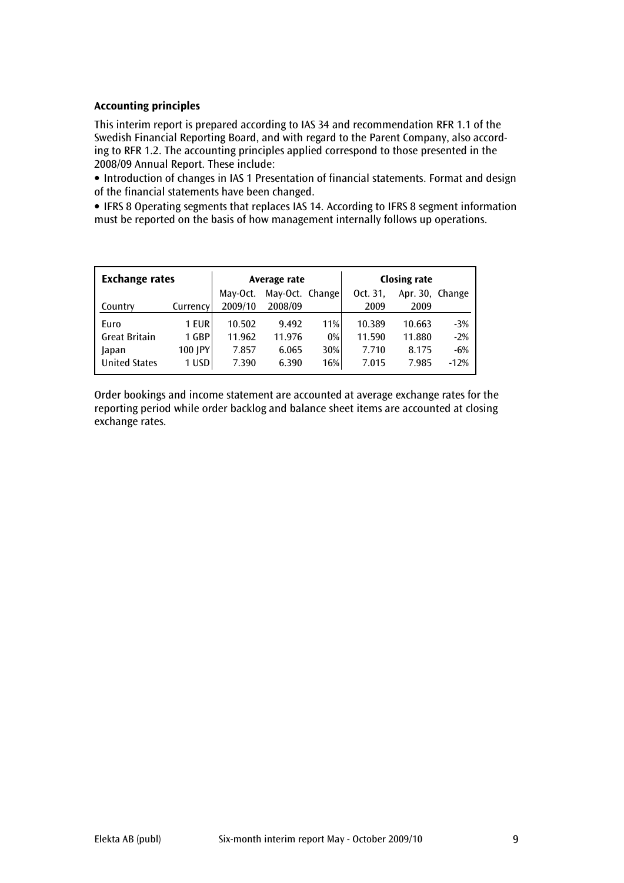# Accounting principles

This interim report is prepared according to IAS 34 and recommendation RFR 1.1 of the Swedish Financial Reporting Board, and with regard to the Parent Company, also according to RFR 1.2. The accounting principles applied correspond to those presented in the 2008/09 Annual Report. These include:

• Introduction of changes in IAS 1 Presentation of financial statements. Format and design of the financial statements have been changed.

• IFRS 8 Operating segments that replaces IAS 14. According to IFRS 8 segment information must be reported on the basis of how management internally follows up operations.

| <b>Exchange rates</b> |          |          | Average rate    |     | <b>Closing rate</b> |                 |        |  |
|-----------------------|----------|----------|-----------------|-----|---------------------|-----------------|--------|--|
|                       |          | May-Oct. | May-Oct. Change |     | Oct. 31.            | Apr. 30, Change |        |  |
| Country               | Currency | 2009/10  | 2008/09         |     | 2009                | 2009            |        |  |
| Euro                  | 1 EUR    | 10.502   | 9.492           | 11% | 10.389              | 10.663          | $-3%$  |  |
| <b>Great Britain</b>  | 1 GBP    | 11.962   | 11.976          | 0%  | 11.590              | 11.880          | $-2%$  |  |
| Japan                 | 100 JPY  | 7.857    | 6.065           | 30% | 7.710               | 8.175           | $-6%$  |  |
| <b>United States</b>  | 1 USD    | 7.390    | 6.390           | 16% | 7.015               | 7.985           | $-12%$ |  |

Order bookings and income statement are accounted at average exchange rates for the reporting period while order backlog and balance sheet items are accounted at closing exchange rates.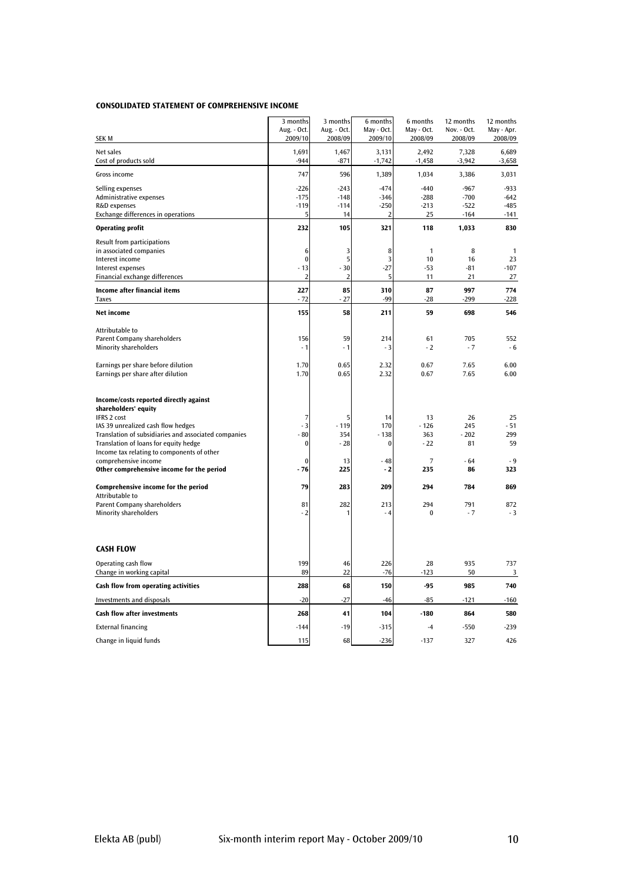#### CONSOLIDATED STATEMENT OF COMPREHENSIVE INCOME

|                                                                                            | 3 months<br>Aug. - Oct. | 3 months<br>Aug. - Oct. | 6 months<br>May - Oct. | 6 months<br>May - Oct. | 12 months<br>Nov. - Oct. | 12 months<br>May - Apr. |
|--------------------------------------------------------------------------------------------|-------------------------|-------------------------|------------------------|------------------------|--------------------------|-------------------------|
| SEK M                                                                                      | 2009/10                 | 2008/09                 | 2009/10                | 2008/09                | 2008/09                  | 2008/09                 |
| Net sales<br>Cost of products sold                                                         | 1,691<br>$-944$         | 1,467<br>$-871$         | 3,131<br>$-1,742$      | 2,492<br>$-1,458$      | 7,328<br>$-3,942$        | 6.689<br>$-3,658$       |
| Gross income                                                                               | 747                     | 596                     | 1,389                  | 1,034                  | 3,386                    | 3,031                   |
| Selling expenses<br>Administrative expenses                                                | $-226$<br>$-175$        | $-243$<br>$-148$        | $-474$<br>$-346$       | $-440$<br>$-288$       | $-967$<br>$-700$         | $-933$<br>$-642$        |
| R&D expenses                                                                               | $-119$                  | $-114$                  | $-250$                 | $-213$                 | $-522$                   | $-485$                  |
| Exchange differences in operations                                                         | 5                       | 14                      | 2                      | 25                     | $-164$                   | $-141$                  |
| <b>Operating profit</b>                                                                    | 232                     | 105                     | 321                    | 118                    | 1,033                    | 830                     |
| Result from participations                                                                 |                         |                         |                        |                        |                          |                         |
| in associated companies                                                                    | 6<br>$\bf{0}$           | 3<br>5                  | 8<br>3                 | $\mathbf{1}$<br>10     | 8                        | 1<br>23                 |
| Interest income<br>Interest expenses                                                       | $-13$                   | $-30$                   | $-27$                  | $-53$                  | 16<br>$-81$              | $-107$                  |
| Financial exchange differences                                                             | $\overline{2}$          | $\overline{2}$          | 5                      | 11                     | 21                       | 27                      |
| Income after financial items                                                               | 227                     | 85                      | 310                    | 87                     | 997                      | 774                     |
| <b>Taxes</b>                                                                               | $-72$                   | $-27$                   | -99                    | $-28$                  | $-299$                   | $-228$                  |
| Net income                                                                                 | 155                     | 58                      | 211                    | 59                     | 698                      | 546                     |
| Attributable to                                                                            |                         |                         |                        |                        | 705                      |                         |
| <b>Parent Company shareholders</b><br><b>Minority shareholders</b>                         | 156<br>$-1$             | 59<br>$-1$              | 214<br>- 3             | 61<br>$-2$             | $-7$                     | 552<br>$-6$             |
|                                                                                            |                         |                         |                        |                        |                          |                         |
| Earnings per share before dilution                                                         | 1.70                    | 0.65                    | 2.32                   | 0.67                   | 7.65                     | 6.00                    |
| Earnings per share after dilution                                                          | 1.70                    | 0.65                    | 2.32                   | 0.67                   | 7.65                     | 6.00                    |
| Income/costs reported directly against<br>shareholders' equity                             |                         |                         |                        |                        |                          |                         |
| <b>IFRS 2 cost</b>                                                                         | 7                       | 5                       | 14                     | 13                     | 26                       | 25                      |
| IAS 39 unrealized cash flow hedges<br>Translation of subsidiaries and associated companies | $-3$<br>$-80$           | $-119$<br>354           | 170<br>- 138           | $-126$<br>363          | 245<br>$-202$            | $-51$<br>299            |
| Translation of loans for equity hedge                                                      | $\bf{0}$                | $-28$                   | $\boldsymbol{0}$       | $-22$                  | 81                       | 59                      |
| Income tax relating to components of other                                                 |                         |                         |                        |                        |                          |                         |
| comprehensive income                                                                       | $\bf{0}$                | 13                      | $-48$                  | $\overline{7}$         | - 64                     | $-9$                    |
| Other comprehensive income for the period                                                  | $-76$                   | 225                     | - 2                    | 235                    | 86                       | 323                     |
| Comprehensive income for the period<br>Attributable to                                     | 79                      | 283                     | 209                    | 294                    | 784                      | 869                     |
| Parent Company shareholders                                                                | 81                      | 282                     | 213                    | 294                    | 791                      | 872                     |
| <b>Minority shareholders</b>                                                               | $-2$                    |                         | $-4$                   | $\bf{0}$               | $-7$                     | $-3$                    |
|                                                                                            |                         |                         |                        |                        |                          |                         |
| <b>CASH FLOW</b>                                                                           |                         |                         |                        |                        |                          |                         |
| Operating cash flow                                                                        | 199                     | 46                      | 226                    | 28                     | 935                      | 737                     |
| Change in working capital                                                                  | 89                      | 22                      | $-76$                  | $-123$                 | 50                       | 3                       |
| Cash flow from operating activities                                                        | 288                     | 68                      | 150                    | -95                    | 985                      | 740                     |
| <b>Investments and disposals</b>                                                           | $-20$                   | $-27$                   | $-46$                  | $-85$                  | $-121$                   | $-160$                  |
| <b>Cash flow after investments</b>                                                         | 268                     | 41                      | 104                    | $-180$                 | 864                      | 580                     |
| <b>External financing</b>                                                                  | $-144$                  | $-19$                   | $-315$                 | $-4$                   | $-550$                   | $-239$                  |
| Change in liquid funds                                                                     | 115                     | 68                      | $-236$                 | $-137$                 | 327                      | 426                     |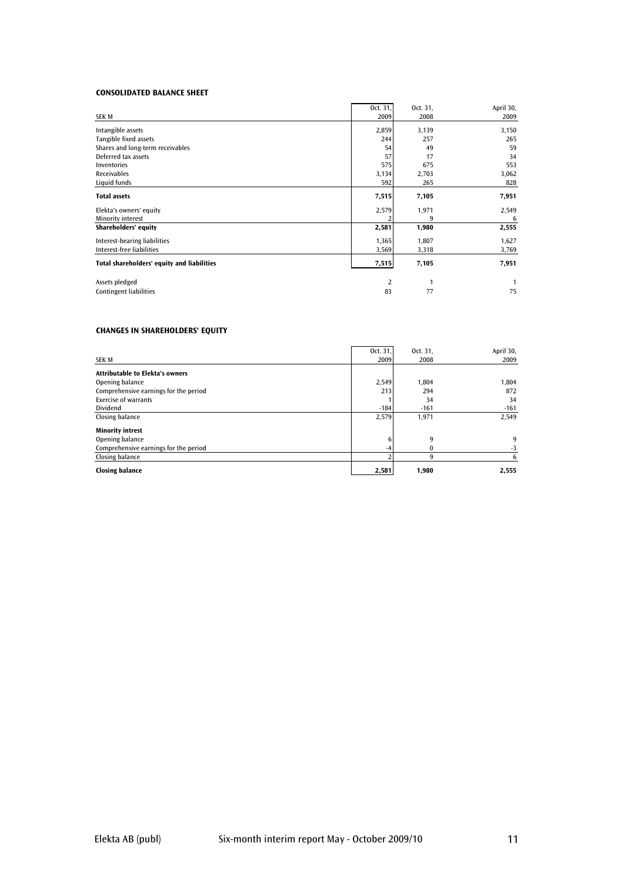#### CONSOLIDATED BALANCE SHEET

| SEK M                                      | Oct. 31,<br>2009 | Oct. 31,<br>2008 | April 30,<br>2009 |
|--------------------------------------------|------------------|------------------|-------------------|
| Intangible assets                          | 2,859            | 3,139            | 3,150             |
| Tangible fixed assets                      | 244              | 257              | 265               |
| Shares and long-term receivables           | 54               | 49               | 59                |
| Deferred tax assets                        | 57               | 17               | 34                |
| <b>Inventories</b>                         | 575              | 675              | 553               |
| <b>Receivables</b>                         | 3,134            | 2,703            | 3,062             |
| Liquid funds                               | 592              | 265              | 828               |
| <b>Total assets</b>                        | 7,515            | 7,105            | 7,951             |
| Elekta's owners' equity                    | 2,579            | 1,971            | 2,549             |
| Minority interest                          |                  | 9                | 6                 |
| Shareholders' equity                       | 2,581            | 1,980            | 2,555             |
| Interest-bearing liabilities               | 1,365            | 1,807            | 1,627             |
| Interest-free liabilities                  | 3,569            | 3,318            | 3,769             |
| Total shareholders' equity and liabilities | 7,515            | 7,105            | 7,951             |
| Assets pledged                             | 2                | 1                |                   |
| <b>Contingent liabilities</b>              | 83               | 77               | 75                |

#### CHANGES IN SHAREHOLDERS' EQUITY

|                                        | Oct. 31. | Oct. 31, | April 30, |
|----------------------------------------|----------|----------|-----------|
| <b>SEK M</b>                           | 2009     | 2008     | 2009      |
| <b>Attributable to Elekta's owners</b> |          |          |           |
| Opening balance                        | 2,549    | 1.804    | 1,804     |
| Comprehensive earnings for the period  | 213      | 294      | 872       |
| <b>Exercise of warrants</b>            |          | 34       | 34        |
| <b>Dividend</b>                        | $-184$   | $-161$   | $-161$    |
| Closing balance                        | 2,579    | 1,971    | 2,549     |
| <b>Minority intrest</b>                |          |          |           |
| Opening balance                        | 6        | 9        | q         |
| Comprehensive earnings for the period  |          |          | -3        |
| Closing balance                        |          | q        |           |
| <b>Closing balance</b>                 | 2,581    | 1,980    | 2,555     |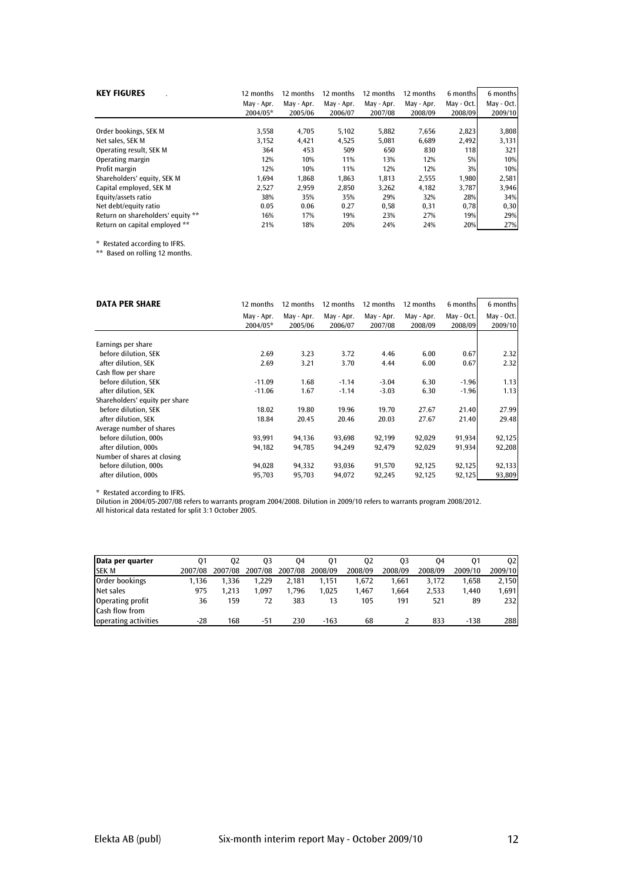| <b>KEY FIGURES</b>                | 12 months<br>May - Apr. | 12 months<br>May - Apr. | 12 months<br>May - Apr. | 12 months<br>May - Apr. | 12 months<br>May - Apr. | 6 months<br>May - Oct. | 6 months<br>May - Oct. |
|-----------------------------------|-------------------------|-------------------------|-------------------------|-------------------------|-------------------------|------------------------|------------------------|
|                                   | 2004/05*                | 2005/06                 | 2006/07                 | 2007/08                 | 2008/09                 | 2008/09                | 2009/10                |
| Order bookings, SEK M             | 3,558                   | 4,705                   | 5,102                   | 5,882                   | 7,656                   | 2,823                  | 3,808                  |
| Net sales. SEK M                  | 3,152                   | 4,421                   | 4,525                   | 5,081                   | 6.689                   | 2,492                  | 3,131                  |
| Operating result, SEK M           | 364                     | 453                     | 509                     | 650                     | 830                     | 118                    | 321                    |
| Operating margin                  | 12%                     | 10%                     | 11%                     | 13%                     | 12%                     | 5%                     | 10%                    |
| Profit margin                     | 12%                     | 10%                     | 11%                     | 12%                     | 12%                     | 3%                     | 10%                    |
| Shareholders' equity, SEK M       | 1,694                   | 1,868                   | 1.863                   | 1,813                   | 2,555                   | 1,980                  | 2,581                  |
| Capital employed, SEK M           | 2,527                   | 2,959                   | 2,850                   | 3,262                   | 4,182                   | 3,787                  | 3,946                  |
| Equity/assets ratio               | 38%                     | 35%                     | 35%                     | 29%                     | 32%                     | 28%                    | 34%                    |
| Net debt/equity ratio             | 0.05                    | 0.06                    | 0.27                    | 0,58                    | 0,31                    | 0,78                   | 0,30                   |
| Return on shareholders' equity ** | 16%                     | 17%                     | 19%                     | 23%                     | 27%                     | 19%                    | 29%                    |
| Return on capital employed **     | 21%                     | 18%                     | 20%                     | 24%                     | 24%                     | 20%                    | 27%                    |

\* Restated according to IFRS.

\*\* Based on rolling 12 months.

| <b>DATA PER SHARE</b>          | 12 months  | 12 months  | 12 months  | 12 months  | 12 months  | 6 months   | 6 months   |
|--------------------------------|------------|------------|------------|------------|------------|------------|------------|
|                                | May - Apr. | May - Apr. | May - Apr. | May - Apr. | May - Apr. | May - Oct. | May - Oct. |
|                                | 2004/05*   | 2005/06    | 2006/07    | 2007/08    | 2008/09    | 2008/09    | 2009/10    |
| Earnings per share             |            |            |            |            |            |            |            |
| before dilution, SEK           | 2.69       | 3.23       | 3.72       | 4.46       | 6.00       | 0.67       | 2.32       |
| after dilution, SEK            | 2.69       | 3.21       | 3.70       | 4.44       | 6.00       | 0.67       | 2.32       |
| Cash flow per share            |            |            |            |            |            |            |            |
| before dilution, SEK           | $-11.09$   | 1.68       | $-1.14$    | $-3.04$    | 6.30       | $-1.96$    | 1.13       |
| after dilution. SEK            | $-11.06$   | 1.67       | $-1.14$    | $-3.03$    | 6.30       | $-1.96$    | 1.13       |
| Shareholders' equity per share |            |            |            |            |            |            |            |
| before dilution, SEK           | 18.02      | 19.80      | 19.96      | 19.70      | 27.67      | 21.40      | 27.99      |
| after dilution, SEK            | 18.84      | 20.45      | 20.46      | 20.03      | 27.67      | 21.40      | 29.48      |
| Average number of shares       |            |            |            |            |            |            |            |
| before dilution, 000s          | 93,991     | 94,136     | 93,698     | 92,199     | 92,029     | 91,934     | 92,125     |
| after dilution, 000s           | 94,182     | 94,785     | 94,249     | 92,479     | 92,029     | 91,934     | 92,208     |
| Number of shares at closing    |            |            |            |            |            |            |            |
| before dilution, 000s          | 94,028     | 94,332     | 93,036     | 91,570     | 92,125     | 92,125     | 92,133     |
| after dilution, 000s           | 95,703     | 95,703     | 94,072     | 92,245     | 92,125     | 92,125     | 93,809     |

\* Restated according to IFRS.

Dilution in 2004/05-2007/08 refers to warrants program 2004/2008. Dilution in 2009/10 refers to warrants program 2008/2012.

All historical data restated for split 3:1 October 2005.

| Data per quarter      | 01      | 02      | 03      | 04      | 01      | 02      | 03      | 04      |         | 02          |
|-----------------------|---------|---------|---------|---------|---------|---------|---------|---------|---------|-------------|
| <b>SEK M</b>          | 2007/08 | 2007/08 | 2007/08 | 2007/08 | 2008/09 | 2008/09 | 2008/09 | 2008/09 | 2009/10 | 2009/10     |
| Order bookings        | 1.136   | 1.336   | .229    | 2.181   | 1.151   | 1.672   | .661    | 3.172   | 1.658   | 2,150       |
| Net sales             | 975     | 1.213   | .097    | 1.796   | 1.025   | 1.467   | .664    | 2.533   | 1.440   | 1,691       |
| Operating profit      | 36      | 159     | 72      | 383     | 13      | 105     | 191     | 521     | 89      | <b>2321</b> |
| <b>Cash flow from</b> |         |         |         |         |         |         |         |         |         |             |
| operating activities  | -28     | 168     | -51     | 230     | $-163$  | 68      |         | 833     | $-138$  | 288         |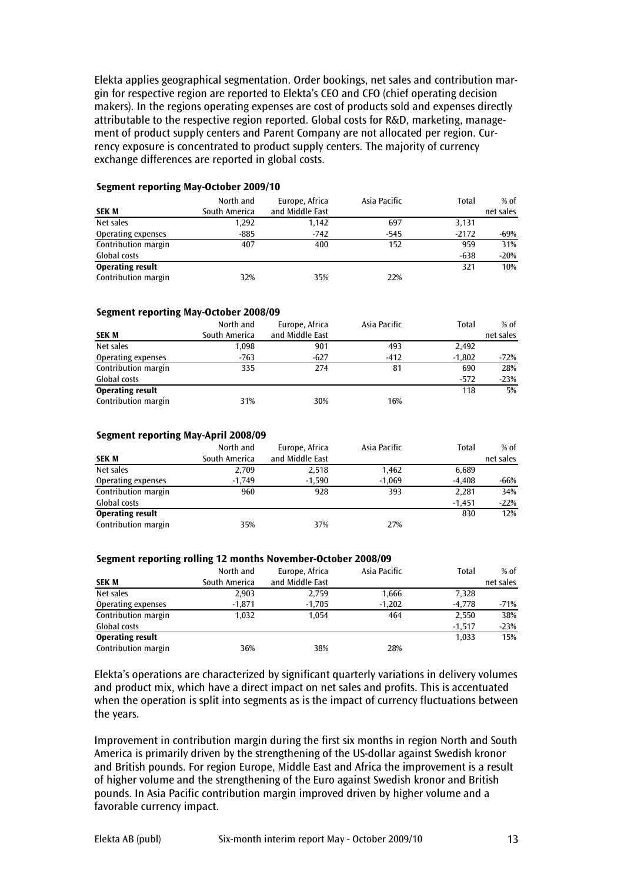Elekta applies geographical segmentation. Order bookings, net sales and contribution margin for respective region are reported to Elekta's CEO and CFO (chief operating decision makers). In the regions operating expenses are cost of products sold and expenses directly attributable to the respective region reported. Global costs for R&D, marketing, management of product supply centers and Parent Company are not allocated per region. Currency exposure is concentrated to product supply centers. The majority of currency exchange differences are reported in global costs.

#### Segment reporting May-October 2009/10

| <b>SEK M</b>            | North and<br>South America | Europe, Africa<br>and Middle East | Asia Pacific | Total   | $%$ of<br>net sales |
|-------------------------|----------------------------|-----------------------------------|--------------|---------|---------------------|
| Net sales               | 1,292                      | 1,142                             | 697          | 3,131   |                     |
| Operating expenses      | $-885$                     | $-742$                            | $-545$       | $-2172$ | $-69%$              |
| Contribution margin     | 407                        | 400                               | 152          | 959     | 31%                 |
| Global costs            |                            |                                   |              | $-638$  | $-20%$              |
| <b>Operating result</b> |                            |                                   |              | 321     | 10%                 |
| Contribution margin     | 32%                        | 35%                               | 22%          |         |                     |

#### Segment reporting May-October 2008/09

| <b>SEK M</b>            | North and<br>South America | Europe, Africa<br>and Middle East | Asia Pacific | Total    | $%$ of<br>net sales |
|-------------------------|----------------------------|-----------------------------------|--------------|----------|---------------------|
| Net sales               | 1,098                      | 901                               | 493          | 2,492    |                     |
| Operating expenses      | $-763$                     | $-627$                            | $-412$       | $-1,802$ | $-72\%$             |
| Contribution margin     | 335                        | 274                               | 81           | 690      | 28%                 |
| Global costs            |                            |                                   |              | $-572$   | $-23%$              |
| <b>Operating result</b> |                            |                                   |              | 118      | 5%                  |
| Contribution margin     | 31%                        | 30%                               | 16%          |          |                     |

#### Segment reporting May-April 2008/09

| <b>SEK M</b>            | North and<br>South America | Europe, Africa<br>and Middle East | Asia Pacific | Total    | $%$ of<br>net sales |
|-------------------------|----------------------------|-----------------------------------|--------------|----------|---------------------|
| Net sales               | 2,709                      | 2,518                             | 1,462        | 6,689    |                     |
| Operating expenses      | $-1,749$                   | $-1.590$                          | $-1,069$     | $-4.408$ | -66%                |
| Contribution margin     | 960                        | 928                               | 393          | 2,281    | 34%                 |
| Global costs            |                            |                                   |              | $-1.451$ | $-22%$              |
| <b>Operating result</b> |                            |                                   |              | 830      | 12%                 |
| Contribution margin     | 35%                        | 37%                               | 27%          |          |                     |

#### Segment reporting rolling 12 months November-October 2008/09

|                         | North and     | Europe, Africa  | Asia Pacific | Total    | $%$ of    |
|-------------------------|---------------|-----------------|--------------|----------|-----------|
| <b>SEK M</b>            | South America | and Middle East |              |          | net sales |
| Net sales               | 2,903         | 2,759           | 1,666        | 7,328    |           |
| Operating expenses      | $-1,871$      | $-1,705$        | $-1,202$     | $-4.778$ | -71%      |
| Contribution margin     | 1,032         | 1.054           | 464          | 2,550    | 38%       |
| Global costs            |               |                 |              | $-1.517$ | $-23%$    |
| <b>Operating result</b> |               |                 |              | 1.033    | 15%       |
| Contribution margin     | 36%           | 38%             | 28%          |          |           |

Elekta's operations are characterized by significant quarterly variations in delivery volumes and product mix, which have a direct impact on net sales and profits. This is accentuated when the operation is split into segments as is the impact of currency fluctuations between the years.

Improvement in contribution margin during the first six months in region North and South America is primarily driven by the strengthening of the US-dollar against Swedish kronor and British pounds. For region Europe, Middle East and Africa the improvement is a result of higher volume and the strengthening of the Euro against Swedish kronor and British pounds. In Asia Pacific contribution margin improved driven by higher volume and a favorable currency impact.